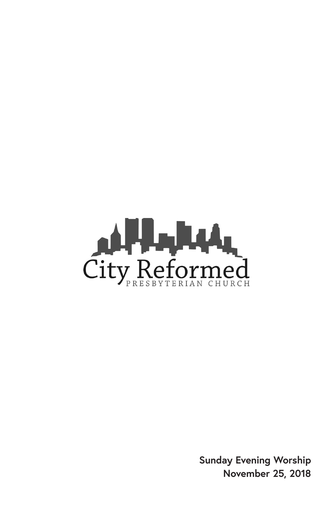

**Sunday Evening Worship November 25, 2018**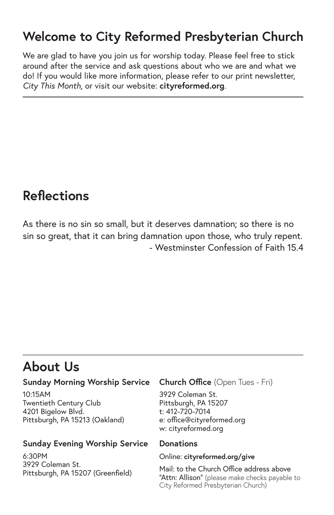#### **Welcome to City Reformed Presbyterian Church**

We are glad to have you join us for worship today. Please feel free to stick around after the service and ask questions about who we are and what we do! If you would like more information, please refer to our print newsletter, *City This Month,* or visit our website: **cityreformed.org**.

### **Reflections**

As there is no sin so small, but it deserves damnation; so there is no sin so great, that it can bring damnation upon those, who truly repent. - Westminster Confession of Faith 15.4

### **About Us**

#### **Sunday Morning Worship Service**

10:15AM Twentieth Century Club 4201 Bigelow Blvd. Pittsburgh, PA 15213 (Oakland)

#### **Sunday Evening Worship Service**

6:30PM 3929 Coleman St. Pittsburgh, PA 15207 (Greenfield)

#### **Church Office** (Open Tues - Fri)

3929 Coleman St. Pittsburgh, PA 15207 t: 412-720-7014 e: office@cityreformed.org w: cityreformed.org

#### **Donations**

#### Online: **cityreformed.org/give**

Mail: to the Church Office address above "Attn: Allison" (please make checks payable to City Reformed Presbyterian Church)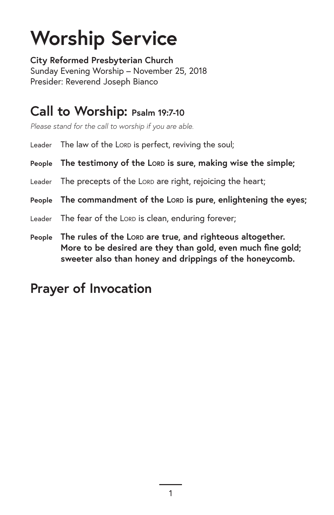# **Worship Service**

**City Reformed Presbyterian Church** Sunday Evening Worship – November 25, 2018 Presider: Reverend Joseph Bianco

#### **Call to Worship: Psalm 19:7-10**

*Please stand for the call to worship if you are able.*

Leader The law of the Lord is perfect, reviving the soul;

- People The testimony of the LORD is sure, making wise the simple;
- Leader The precepts of the Lorp are right, rejoicing the heart;
- People The commandment of the LORD is pure, enlightening the eyes;
- Leader The fear of the Lord is clean, enduring forever;
- People The rules of the Lord are true, and righteous altogether. **More to be desired are they than gold, even much fine gold; sweeter also than honey and drippings of the honeycomb.**

### **Prayer of Invocation**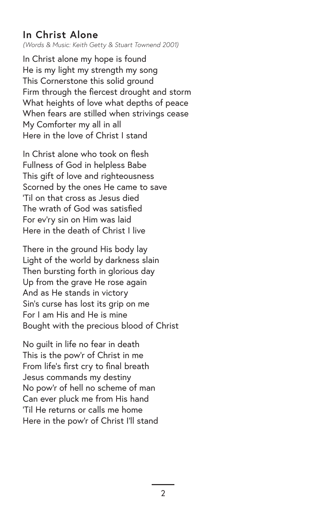#### **In Christ Alone**

*(Words & Music: Keith Getty & Stuart Townend 2001)*

In Christ alone my hope is found He is my light my strength my song This Cornerstone this solid ground Firm through the fiercest drought and storm What heights of love what depths of peace When fears are stilled when strivings cease My Comforter my all in all Here in the love of Christ I stand

In Christ alone who took on flesh Fullness of God in helpless Babe This gift of love and righteousness Scorned by the ones He came to save 'Til on that cross as Jesus died The wrath of God was satisfied For ev'ry sin on Him was laid Here in the death of Christ I live

There in the ground His body lay Light of the world by darkness slain Then bursting forth in glorious day Up from the grave He rose again And as He stands in victory Sin's curse has lost its grip on me For I am His and He is mine Bought with the precious blood of Christ

No guilt in life no fear in death This is the pow'r of Christ in me From life's first cry to final breath Jesus commands my destiny No pow'r of hell no scheme of man Can ever pluck me from His hand 'Til He returns or calls me home Here in the pow'r of Christ I'll stand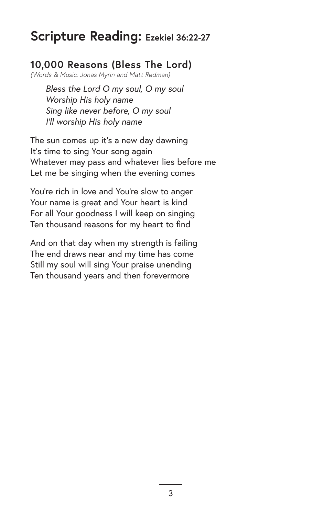#### **Scripture Reading: Ezekiel 36:22-27**

#### **10,000 Reasons (Bless The Lord)**

*(Words & Music: Jonas Myrin and Matt Redman)*

*Bless the Lord O my soul, O my soul Worship His holy name Sing like never before, O my soul I'll worship His holy name*

The sun comes up it's a new day dawning It's time to sing Your song again Whatever may pass and whatever lies before me Let me be singing when the evening comes

You're rich in love and You're slow to anger Your name is great and Your heart is kind For all Your goodness I will keep on singing Ten thousand reasons for my heart to find

And on that day when my strength is failing The end draws near and my time has come Still my soul will sing Your praise unending Ten thousand years and then forevermore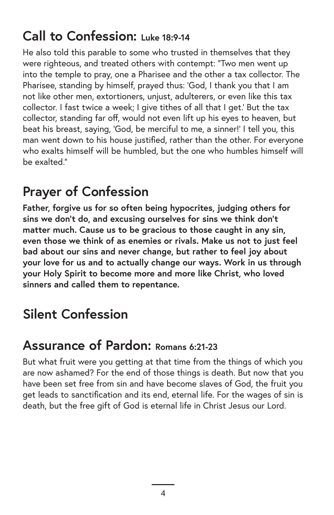### **Call to Confession: Luke 18:9-14**

He also told this parable to some who trusted in themselves that they were righteous, and treated others with contempt: "Two men went up into the temple to pray, one a Pharisee and the other a tax collector. The Pharisee, standing by himself, prayed thus: 'God, I thank you that I am not like other men, extortioners, unjust, adulterers, or even like this tax collector. I fast twice a week; I give tithes of all that I get.' But the tax collector, standing far off, would not even lift up his eyes to heaven, but beat his breast, saying, 'God, be merciful to me, a sinner!' I tell you, this man went down to his house justified, rather than the other. For everyone who exalts himself will be humbled, but the one who humbles himself will be exalted."

# **Prayer of Confession**

**Father, forgive us for so often being hypocrites, judging others for sins we don't do, and excusing ourselves for sins we think don't matter much. Cause us to be gracious to those caught in any sin, even those we think of as enemies or rivals. Make us not to just feel bad about our sins and never change, but rather to feel joy about your love for us and to actually change our ways. Work in us through your Holy Spirit to become more and more like Christ, who loved sinners and called them to repentance.**

# **Silent Confession**

#### **Assurance of Pardon: Romans 6:21-23**

But what fruit were you getting at that time from the things of which you are now ashamed? For the end of those things is death. But now that you have been set free from sin and have become slaves of God, the fruit you get leads to sanctification and its end, eternal life. For the wages of sin is death, but the free gift of God is eternal life in Christ Jesus our Lord.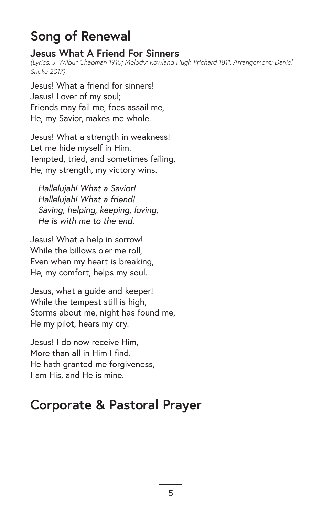# **Song of Renewal**

#### **Jesus What A Friend For Sinners**

*(Lyrics: J. Wilbur Chapman 1910; Melody: Rowland Hugh Prichard 1811; Arrangement: Daniel Snoke 2017)*

Jesus! What a friend for sinners! Jesus! Lover of my soul; Friends may fail me, foes assail me, He, my Savior, makes me whole.

Jesus! What a strength in weakness! Let me hide myself in Him. Tempted, tried, and sometimes failing, He, my strength, my victory wins.

*Hallelujah! What a Savior! Hallelujah! What a friend! Saving, helping, keeping, loving, He is with me to the end.*

Jesus! What a help in sorrow! While the billows o'er me roll, Even when my heart is breaking, He, my comfort, helps my soul.

Jesus, what a guide and keeper! While the tempest still is high, Storms about me, night has found me, He my pilot, hears my cry.

Jesus! I do now receive Him, More than all in Him I find. He hath granted me forgiveness, I am His, and He is mine.

### **Corporate & Pastoral Prayer**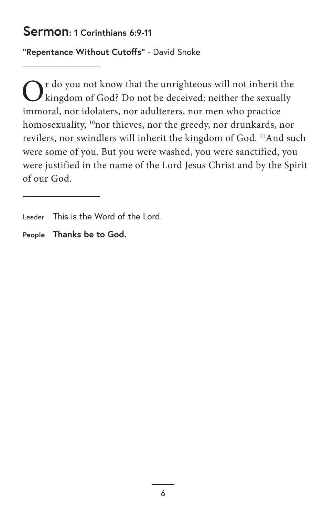#### **Sermon: 1 Corinthians 6:9-11**

#### **"Repentance Without Cutoffs"** - David Snoke

Or do you not know that the unrighteous will not inherit the kingdom of God? Do not be deceived: neither the sexually immoral, nor idolaters, nor adulterers, nor men who practice homosexuality, <sup>10</sup>nor thieves, nor the greedy, nor drunkards, nor revilers, nor swindlers will inherit the kingdom of God. 11And such were some of you. But you were washed, you were sanctified, you were justified in the name of the Lord Jesus Christ and by the Spirit of our God.

Leader This is the Word of the Lord.

**People Thanks be to God.**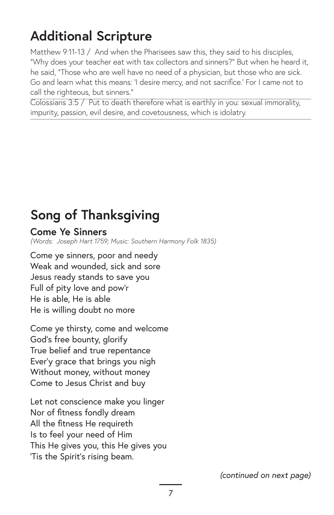# **Additional Scripture**

Matthew 9:11-13 / And when the Pharisees saw this, they said to his disciples, "Why does your teacher eat with tax collectors and sinners?" But when he heard it, he said, "Those who are well have no need of a physician, but those who are sick. Go and learn what this means: 'I desire mercy, and not sacrifice.' For I came not to call the righteous, but sinners."

Colossians 3:5 / Put to death therefore what is earthly in you: sexual immorality, impurity, passion, evil desire, and covetousness, which is idolatry.

# **Song of Thanksgiving**

#### **Come Ye Sinners**

*(Words: Joseph Hart 1759; Music: Southern Harmony Folk 1835)*

Come ye sinners, poor and needy Weak and wounded, sick and sore Jesus ready stands to save you Full of pity love and pow'r He is able, He is able He is willing doubt no more

Come ye thirsty, come and welcome God's free bounty, glorify True belief and true repentance Ever'y grace that brings you nigh Without money, without money Come to Jesus Christ and buy

Let not conscience make you linger Nor of fitness fondly dream All the fitness He requireth Is to feel your need of Him This He gives you, this He gives you 'Tis the Spirit's rising beam.

*(continued on next page)*